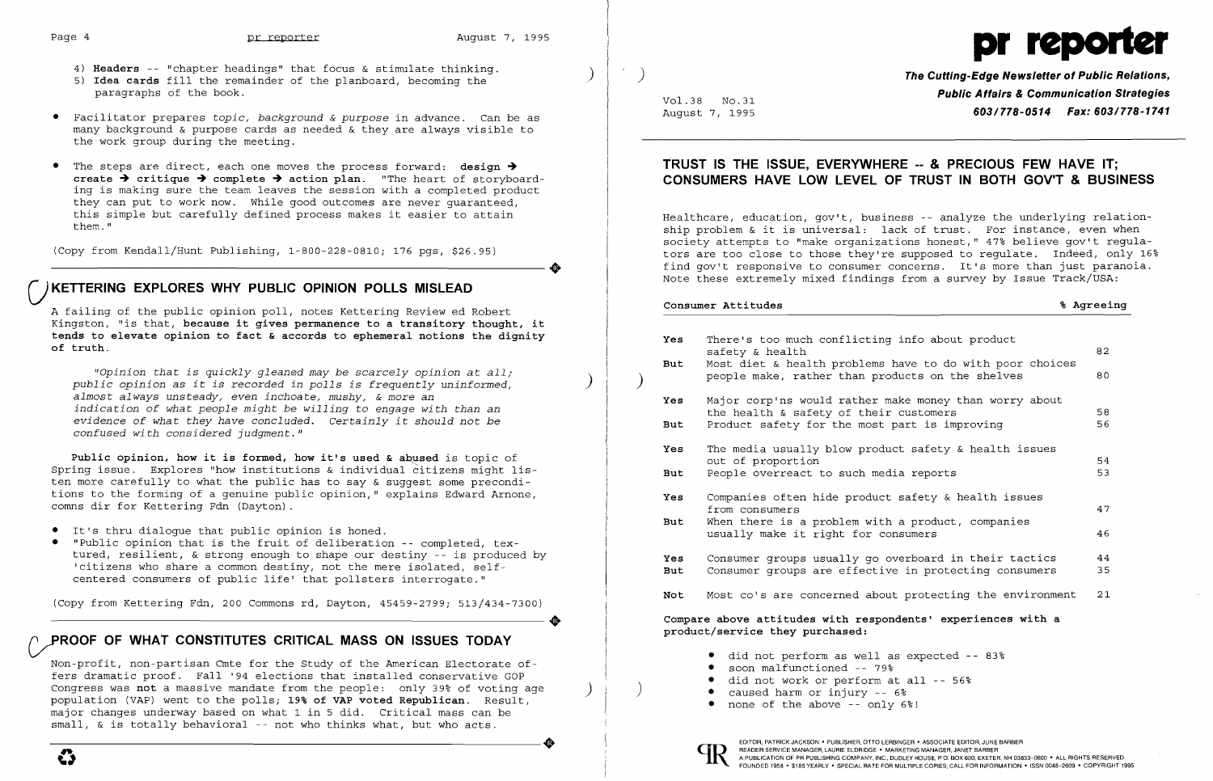- 4) **Headers** -- "chapter headings" that focus & stimulate thinking.
- 5) **Idea cards** fill the remainder of the planboard, becoming the paragraphs of the book.
- • Facilitator prepares *topic, background* & *purpose* in advance. Can be as many background & purpose cards as needed & they are always visible to the work group during the meeting.
- The steps are direct, each one moves the process forward: design > create  $\rightarrow$  critique  $\rightarrow$  complete  $\rightarrow$  action plan. "The heart of storyboarding is making sure the team leaves the session with a completed product they can put to work now. While good outcomes are never guaranteed, this simple but carefully defined process makes it easier to attain them. "

(Copy from Kendall/Hunt Publishing, 1-800-228-0810; 176 pgs, \$26.95) ----------------------+

## () **KETTERING EXPLORES WHY PUBLIC OPINION POLLS MISLEAD**

Public opinion, how it is formed, how it's used & abused is topic of Spring issue. Explores "how institutions & individual citizens might listen more carefully to what the public has to say & suggest some preconditions to the forming of a genuine public opinion," explains Edward Arnone, comns dir for Kettering Fdn (Dayton).

A failing of the public opinion poll, notes Kettering Reviewed Robert Kingston, "is that, **because it gives permanence to a transitory thought, it tends to elevate opinion to fact & accords to ephemeral notions the dignity of truth.** 

(Copy from Kettering Fdn, 200 Commons rd, Dayton, 45459-2799; 513/434-7300) Copy from Kettering Fdn, 200 Commons rd, Dayton, 45459-2799; 513/434-7300)

*"Opinion that is quickly gleaned may be scarcely opinion* at *all; public opinion* as *it is recorded in polls is frequently uninformed, almost always unsteady, even inchoate, mushy,* & *more* an *indication* of *what people might be willing* to *engage with than* an *evidence* of *what they have concluded. Certainly it should not be confused wi th considered judgment."* 

• It's thru dialogue that public opinion is honed.

• "Public opinion that is the fruit of deliberation -- completed, textured, resilient, & strong enough to shape our destiny -- is produced by 'citizens who share a common destiny, not the mere isolated, selfcentered consumers of public life' that pollsters interrogate."

# **VROOF OF WHAT CONSTITUTES CRITICAL MASS ON ISSUES TODAY**

Non-profit, non-partisan Cmte for the Study of the American Electorate offers dramatic proof. Fall '94 elections that installed conservative GOP Congress was **not** a massive mandate from the people: only 39% of voting age population (VAP) went to the polls; 19% **of VAP voted Republican.** Result, major changes underway based on what 1 in 5 did. Critical mass can be small, & is totally behavioral -- not who thinks what, but who acts. small, & is totally behavioral -- not who thinks what, but who acts.



) ) **The Cutting-Edge Newsletter of Public Relations,**  Vol.38 No.31 **Public Affairs & Communication Strategies**  August 7, 1995 *603/778-0514 Fax: 603/778-1741* 

## **TRUST IS THE ISSUE, EVERYWHERE -- & PRECIOUS FEW HAVE IT; CONSUMERS HAVE LOW LEVEL OF TRUST IN BOTH GOV'T & BUSINESS**

Healthcare, education, gov't, business -- analyze the underlying relationship problem & it is universal: lack of trust. For instance, even when society attempts to "make organizations honest," 47% believe gov't regulators are too close to those they're supposed to regulate. Indeed, only 16% find gov't responsive to consumer concerns. It's more than just paranoia. Note these extremely mixed findings from a survey by Issue Track/USA:

|                                                                                                 |                          | Consumer Attitudes                                                                                                                                                                 | % Agreeing |
|-------------------------------------------------------------------------------------------------|--------------------------|------------------------------------------------------------------------------------------------------------------------------------------------------------------------------------|------------|
|                                                                                                 | Yes<br>But               | There's too much conflicting info about product<br>safety & health<br>Most diet & health problems have to do with poor choices<br>people make, rather than products on the shelves | 82<br>80   |
|                                                                                                 | Yes                      | Major corp'ns would rather make money than worry about                                                                                                                             |            |
|                                                                                                 | But                      | the health & safety of their customers<br>Product safety for the most part is improving                                                                                            | 58<br>56   |
|                                                                                                 | Yes                      | The media usually blow product safety & health issues                                                                                                                              |            |
|                                                                                                 | <b>But</b>               | out of proportion<br>People overreact to such media reports                                                                                                                        | 54<br>53   |
|                                                                                                 | Yes                      | Companies often hide product safety & health issues<br>from consumers                                                                                                              | 47         |
|                                                                                                 | <b>But</b>               | When there is a problem with a product, companies<br>usually make it right for consumers                                                                                           | 46         |
|                                                                                                 | <b>Yes</b><br><b>But</b> | Consumer groups usually go overboard in their tactics<br>Consumer groups are effective in protecting consumers                                                                     | 44<br>35   |
|                                                                                                 | Not                      | Most co's are concerned about protecting the environment                                                                                                                           | 21         |
| Compare above attitudes with respondents' experiences with a<br>product/service they purchased: |                          |                                                                                                                                                                                    |            |
|                                                                                                 |                          | $\bullet$ did not ponform as $\infty$ <sup>11</sup> as armostod<br>on e                                                                                                            |            |

- did not perform as well as expected  $-$  83%
- soon malfunctioned -- 79%
- did not work or perform at all -- 56%<br>caused harm or injury -- 6%
- 
- none of the above  $-$  only  $6$ %!